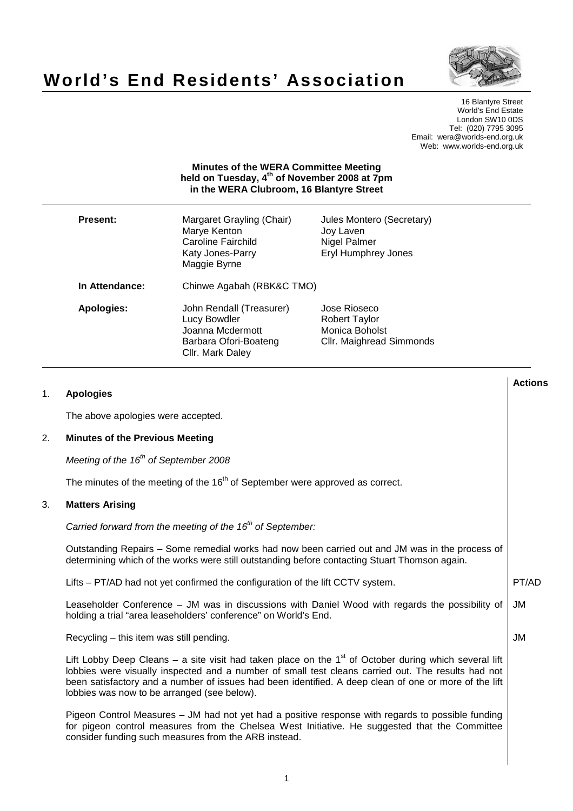

# **World's End Residents' Association**

16 Blantyre Street World's End Estate London SW10 0DS Tel: (020) 7795 3095 Email: wera@worlds-end.org.uk Web: www.worlds-end.org.uk

## **Minutes of the WERA Committee Meeting held on Tuesday, 4th of November 2008 at 7pm in the WERA Clubroom, 16 Blantyre Street**

| <b>Present:</b>   | Margaret Grayling (Chair)<br>Marye Kenton<br>Caroline Fairchild<br>Katy Jones-Parry<br>Maggie Byrne       | Jules Montero (Secretary)<br>Joy Laven<br>Nigel Palmer<br><b>Eryl Humphrey Jones</b> |
|-------------------|-----------------------------------------------------------------------------------------------------------|--------------------------------------------------------------------------------------|
| In Attendance:    | Chinwe Agabah (RBK&C TMO)                                                                                 |                                                                                      |
| <b>Apologies:</b> | John Rendall (Treasurer)<br>Lucy Bowdler<br>Joanna Mcdermott<br>Barbara Ofori-Boateng<br>Cllr. Mark Daley | Jose Rioseco<br>Robert Taylor<br>Monica Boholst<br>Cllr. Maighread Simmonds          |

| 1. | <b>Apologies</b>                                                                                                                                                                                                                                                                                                                                                      | <b>Actions</b> |
|----|-----------------------------------------------------------------------------------------------------------------------------------------------------------------------------------------------------------------------------------------------------------------------------------------------------------------------------------------------------------------------|----------------|
|    | The above apologies were accepted.                                                                                                                                                                                                                                                                                                                                    |                |
| 2. | <b>Minutes of the Previous Meeting</b>                                                                                                                                                                                                                                                                                                                                |                |
|    | Meeting of the 16 <sup>th</sup> of September 2008                                                                                                                                                                                                                                                                                                                     |                |
|    | The minutes of the meeting of the 16 <sup>th</sup> of September were approved as correct.                                                                                                                                                                                                                                                                             |                |
| 3. | <b>Matters Arising</b>                                                                                                                                                                                                                                                                                                                                                |                |
|    | Carried forward from the meeting of the $16th$ of September:                                                                                                                                                                                                                                                                                                          |                |
|    | Outstanding Repairs - Some remedial works had now been carried out and JM was in the process of<br>determining which of the works were still outstanding before contacting Stuart Thomson again.                                                                                                                                                                      |                |
|    | Lifts – PT/AD had not yet confirmed the configuration of the lift CCTV system.                                                                                                                                                                                                                                                                                        | PT/AD          |
|    | Leaseholder Conference - JM was in discussions with Daniel Wood with regards the possibility of<br>holding a trial "area leaseholders' conference" on World's End.                                                                                                                                                                                                    | JM             |
|    | Recycling – this item was still pending.                                                                                                                                                                                                                                                                                                                              | <b>JM</b>      |
|    | Lift Lobby Deep Cleans – a site visit had taken place on the $1st$ of October during which several lift<br>lobbies were visually inspected and a number of small test cleans carried out. The results had not<br>been satisfactory and a number of issues had been identified. A deep clean of one or more of the lift<br>lobbies was now to be arranged (see below). |                |
|    | Pigeon Control Measures – JM had not yet had a positive response with regards to possible funding<br>for pigeon control measures from the Chelsea West Initiative. He suggested that the Committee<br>consider funding such measures from the ARB instead.                                                                                                            |                |
|    |                                                                                                                                                                                                                                                                                                                                                                       |                |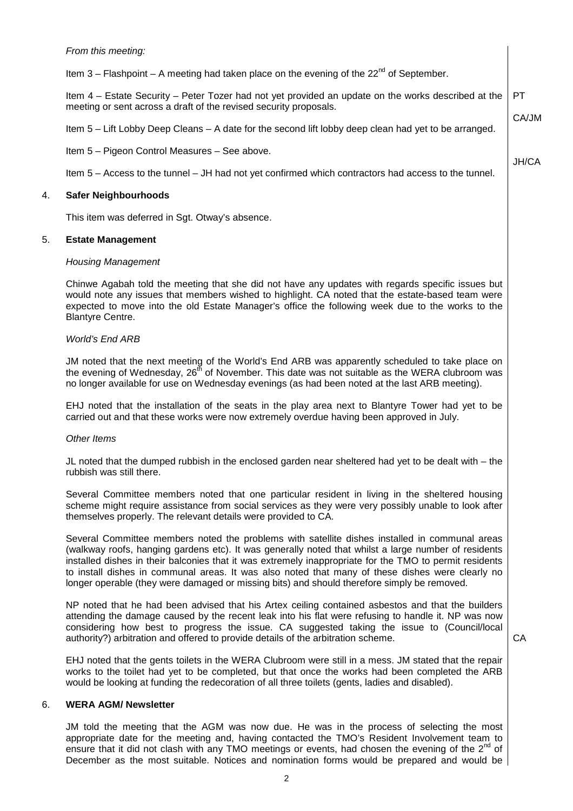|    | From this meeting:                                                                                                                                                                                                                                                                                                                                                                                                                                                                                                   |              |
|----|----------------------------------------------------------------------------------------------------------------------------------------------------------------------------------------------------------------------------------------------------------------------------------------------------------------------------------------------------------------------------------------------------------------------------------------------------------------------------------------------------------------------|--------------|
|    | Item 3 – Flashpoint – A meeting had taken place on the evening of the $22^{nd}$ of September.                                                                                                                                                                                                                                                                                                                                                                                                                        |              |
|    | Item 4 – Estate Security – Peter Tozer had not yet provided an update on the works described at the<br>meeting or sent across a draft of the revised security proposals.                                                                                                                                                                                                                                                                                                                                             | <b>PT</b>    |
|    | Item 5 – Lift Lobby Deep Cleans – A date for the second lift lobby deep clean had yet to be arranged.                                                                                                                                                                                                                                                                                                                                                                                                                | CA/JM        |
|    | Item 5 - Pigeon Control Measures - See above.                                                                                                                                                                                                                                                                                                                                                                                                                                                                        |              |
|    | Item 5 - Access to the tunnel - JH had not yet confirmed which contractors had access to the tunnel.                                                                                                                                                                                                                                                                                                                                                                                                                 | <b>JH/CA</b> |
| 4. | <b>Safer Neighbourhoods</b>                                                                                                                                                                                                                                                                                                                                                                                                                                                                                          |              |
|    | This item was deferred in Sgt. Otway's absence.                                                                                                                                                                                                                                                                                                                                                                                                                                                                      |              |
| 5. | <b>Estate Management</b>                                                                                                                                                                                                                                                                                                                                                                                                                                                                                             |              |
|    | <b>Housing Management</b>                                                                                                                                                                                                                                                                                                                                                                                                                                                                                            |              |
|    | Chinwe Agabah told the meeting that she did not have any updates with regards specific issues but<br>would note any issues that members wished to highlight. CA noted that the estate-based team were<br>expected to move into the old Estate Manager's office the following week due to the works to the<br><b>Blantyre Centre.</b>                                                                                                                                                                                 |              |
|    | <b>World's End ARB</b>                                                                                                                                                                                                                                                                                                                                                                                                                                                                                               |              |
|    | JM noted that the next meeting of the World's End ARB was apparently scheduled to take place on<br>the evening of Wednesday, 26 <sup>th</sup> of November. This date was not suitable as the WERA clubroom was<br>no longer available for use on Wednesday evenings (as had been noted at the last ARB meeting).                                                                                                                                                                                                     |              |
|    | EHJ noted that the installation of the seats in the play area next to Blantyre Tower had yet to be<br>carried out and that these works were now extremely overdue having been approved in July.                                                                                                                                                                                                                                                                                                                      |              |
|    | Other Items                                                                                                                                                                                                                                                                                                                                                                                                                                                                                                          |              |
|    | JL noted that the dumped rubbish in the enclosed garden near sheltered had yet to be dealt with - the<br>rubbish was still there.                                                                                                                                                                                                                                                                                                                                                                                    |              |
|    | Several Committee members noted that one particular resident in living in the sheltered housing<br>scheme might require assistance from social services as they were very possibly unable to look after<br>themselves properly. The relevant details were provided to CA.                                                                                                                                                                                                                                            |              |
|    | Several Committee members noted the problems with satellite dishes installed in communal areas<br>(walkway roofs, hanging gardens etc). It was generally noted that whilst a large number of residents<br>installed dishes in their balconies that it was extremely inappropriate for the TMO to permit residents<br>to install dishes in communal areas. It was also noted that many of these dishes were clearly no<br>longer operable (they were damaged or missing bits) and should therefore simply be removed. |              |
|    | NP noted that he had been advised that his Artex ceiling contained asbestos and that the builders<br>attending the damage caused by the recent leak into his flat were refusing to handle it. NP was now<br>considering how best to progress the issue. CA suggested taking the issue to (Council/local<br>authority?) arbitration and offered to provide details of the arbitration scheme.                                                                                                                         | CA           |
|    | EHJ noted that the gents toilets in the WERA Clubroom were still in a mess. JM stated that the repair<br>works to the toilet had yet to be completed, but that once the works had been completed the ARB<br>would be looking at funding the redecoration of all three toilets (gents, ladies and disabled).                                                                                                                                                                                                          |              |
| 6. | <b>WERA AGM/ Newsletter</b>                                                                                                                                                                                                                                                                                                                                                                                                                                                                                          |              |
|    | JM told the meeting that the AGM was now due. He was in the process of selecting the most<br>appropriate date for the meeting and, having contacted the TMO's Resident Involvement team to<br>ensure that it did not clash with any TMO meetings or events, had chosen the evening of the 2 <sup>nd</sup> of                                                                                                                                                                                                         |              |

 $\ddot{\phantom{a}}$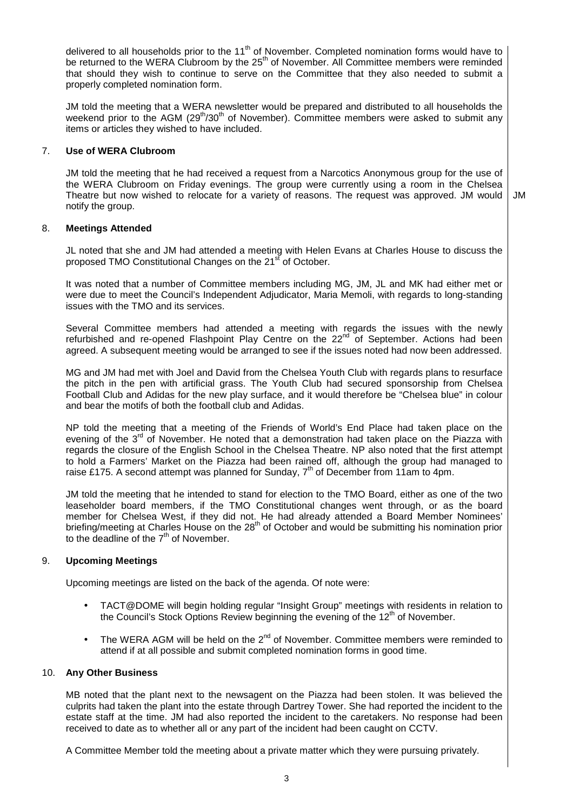delivered to all households prior to the 11<sup>th</sup> of November. Completed nomination forms would have to be returned to the WERA Clubroom by the 25<sup>th</sup> of November. All Committee members were reminded that should they wish to continue to serve on the Committee that they also needed to submit a properly completed nomination form.

JM told the meeting that a WERA newsletter would be prepared and distributed to all households the weekend prior to the AGM  $(29<sup>th</sup>/30<sup>th</sup>$  of November). Committee members were asked to submit any items or articles they wished to have included.

#### 7. **Use of WERA Clubroom**

JM told the meeting that he had received a request from a Narcotics Anonymous group for the use of the WERA Clubroom on Friday evenings. The group were currently using a room in the Chelsea Theatre but now wished to relocate for a variety of reasons. The request was approved. JM would notify the group. JM

#### 8. **Meetings Attended**

JL noted that she and JM had attended a meeting with Helen Evans at Charles House to discuss the proposed TMO Constitutional Changes on the 21<sup>st</sup> of October.

It was noted that a number of Committee members including MG, JM, JL and MK had either met or were due to meet the Council's Independent Adjudicator, Maria Memoli, with regards to long-standing issues with the TMO and its services.

Several Committee members had attended a meeting with regards the issues with the newly refurbished and re-opened Flashpoint Play Centre on the  $22^{nd}$  of September. Actions had been agreed. A subsequent meeting would be arranged to see if the issues noted had now been addressed.

MG and JM had met with Joel and David from the Chelsea Youth Club with regards plans to resurface the pitch in the pen with artificial grass. The Youth Club had secured sponsorship from Chelsea Football Club and Adidas for the new play surface, and it would therefore be "Chelsea blue" in colour and bear the motifs of both the football club and Adidas.

NP told the meeting that a meeting of the Friends of World's End Place had taken place on the evening of the 3<sup>rd</sup> of November. He noted that a demonstration had taken place on the Piazza with regards the closure of the English School in the Chelsea Theatre. NP also noted that the first attempt to hold a Farmers' Market on the Piazza had been rained off, although the group had managed to raise £175. A second attempt was planned for Sunday,  $7<sup>th</sup>$  of December from 11am to 4pm.

JM told the meeting that he intended to stand for election to the TMO Board, either as one of the two leaseholder board members, if the TMO Constitutional changes went through, or as the board member for Chelsea West, if they did not. He had already attended a Board Member Nominees' briefing/meeting at Charles House on the 28<sup>th</sup> of October and would be submitting his nomination prior to the deadline of the  $7<sup>th</sup>$  of November.

### 9. **Upcoming Meetings**

Upcoming meetings are listed on the back of the agenda. Of note were:

- TACT@DOME will begin holding regular "Insight Group" meetings with residents in relation to the Council's Stock Options Review beginning the evening of the 12<sup>th</sup> of November.
- The WERA AGM will be held on the  $2^{nd}$  of November. Committee members were reminded to attend if at all possible and submit completed nomination forms in good time.

#### 10. **Any Other Business**

MB noted that the plant next to the newsagent on the Piazza had been stolen. It was believed the culprits had taken the plant into the estate through Dartrey Tower. She had reported the incident to the estate staff at the time. JM had also reported the incident to the caretakers. No response had been received to date as to whether all or any part of the incident had been caught on CCTV.

A Committee Member told the meeting about a private matter which they were pursuing privately.